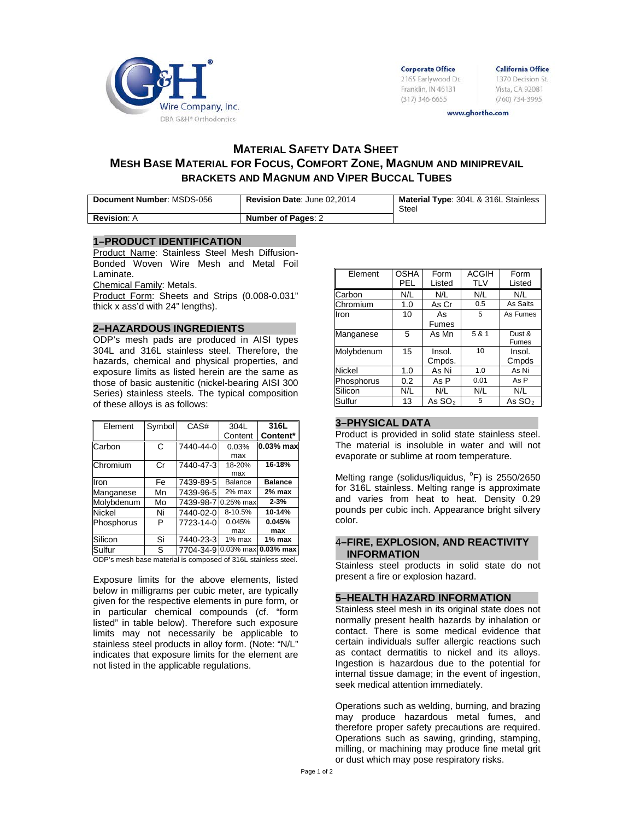

**Corporate Office** 2165 Earlywood Dr. Franklin, IN 46131  $(317)$  346-6655

**California Office** 1370 Decision St. Vista, CA 92081 (760) 734-3995

www.ghortho.com

# **MATERIAL SAFETY DATA SHEET MESH BASE MATERIAL FOR FOCUS, COMFORT ZONE, MAGNUM AND MINIPREVAIL BRACKETS AND MAGNUM AND VIPER BUCCAL TUBES**

| Document Number: MSDS-056 | Revision Date: June 02,2014 | <b>Material Type: 304L &amp; 316L Stainless</b><br>Steel |
|---------------------------|-----------------------------|----------------------------------------------------------|
| <b>Revision: A</b>        | <b>Number of Pages: 2</b>   |                                                          |

## **1–PRODUCT IDENTIFICATION**

Product Name: Stainless Steel Mesh Diffusion-Bonded Woven Wire Mesh and Metal Foil Laminate.

Chemical Family: Metals.

Product Form: Sheets and Strips (0.008-0.031" thick x ass'd with 24" lengths).

#### **2–HAZARDOUS INGREDIENTS**

ODP's mesh pads are produced in AISI types 304L and 316L stainless steel. Therefore, the hazards, chemical and physical properties, and exposure limits as listed herein are the same as those of basic austenitic (nickel-bearing AISI 300 Series) stainless steels. The typical composition of these alloys is as follows:

| Element    | Symbol | CAS#      | 304L        | 316L           |
|------------|--------|-----------|-------------|----------------|
|            |        |           | Content     | Content*       |
| Carbon     | C      | 7440-44-0 | 0.03%       | $0.03%$ max    |
|            |        |           | max         |                |
| Chromium   | Cr     | 7440-47-3 | 18-20%      | 16-18%         |
|            |        |           | max         |                |
| Iron       | Fe     | 7439-89-5 | Balance     | <b>Balance</b> |
| Manganese  | Mn     | 7439-96-5 | 2% max      | 2% max         |
| Molybdenum | Mo     | 7439-98-7 | $0.25%$ max | $2 - 3%$       |
| Nickel     | Ni     | 7440-02-0 | 8-10.5%     | 10-14%         |
| Phosphorus | P      | 7723-14-0 | 0.045%      | 0.045%         |
|            |        |           | max         | max            |
| Silicon    | Si     | 7440-23-3 | $1\%$ max   | 1% max         |
| Sulfur     | S      | 7704-34-9 | $0.03%$ max | $0.03\%$ max   |

ODP's mesh base material is composed of 316L stainless steel.

Exposure limits for the above elements, listed below in milligrams per cubic meter, are typically given for the respective elements in pure form, or in particular chemical compounds (cf. "form listed" in table below). Therefore such exposure limits may not necessarily be applicable to stainless steel products in alloy form. (Note: "N/L" indicates that exposure limits for the element are not listed in the applicable regulations.

| Element       | <b>OSHA</b> | Form     | <b>ACGIH</b> | Form         |
|---------------|-------------|----------|--------------|--------------|
|               | PEL         | Listed   | <b>TLV</b>   | Listed       |
| Carbon        | N/L         | N/L      | N/L          | N/L          |
| Chromium      | 1.0         | As Cr    | 0.5          | As Salts     |
| Iron          | 10          | As       | 5            | As Fumes     |
|               |             | Fumes    |              |              |
| Manganese     | 5           | As Mn    | 5 & 1        | Dust &       |
|               |             |          |              | <b>Fumes</b> |
| Molybdenum    | 15          | Insol.   | 10           | Insol.       |
|               |             | Cmpds.   |              | Cmpds        |
| <b>Nickel</b> | 1.0         | As Ni    | 1.0          | As Ni        |
| Phosphorus    | 0.2         | As P     | 0.01         | As P         |
| Silicon       | N/L         | N/L      | N/L          | N/L          |
| Sulfur        | 13          | As $SO2$ | 5            | As $SO2$     |

#### **3–PHYSICAL DATA**

Product is provided in solid state stainless steel. The material is insoluble in water and will not evaporate or sublime at room temperature.

Melting range (solidus/liquidus, <sup>o</sup>F) is 2550/2650 for 316L stainless. Melting range is approximate and varies from heat to heat. Density 0.29 pounds per cubic inch. Appearance bright silvery color.

#### 4**–FIRE, EXPLOSION, AND REACTIVITY INFORMATION**

Stainless steel products in solid state do not present a fire or explosion hazard.

#### **5–HEALTH HAZARD INFORMATION**

Stainless steel mesh in its original state does not normally present health hazards by inhalation or contact. There is some medical evidence that certain individuals suffer allergic reactions such as contact dermatitis to nickel and its alloys. Ingestion is hazardous due to the potential for internal tissue damage; in the event of ingestion, seek medical attention immediately.

Operations such as welding, burning, and brazing may produce hazardous metal fumes, and therefore proper safety precautions are required. Operations such as sawing, grinding, stamping, milling, or machining may produce fine metal grit or dust which may pose respiratory risks.